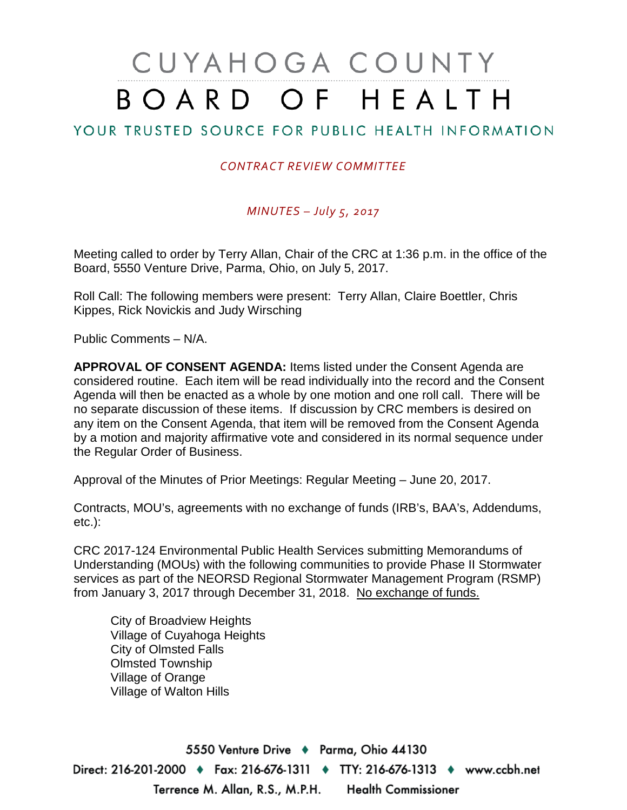# CUYAHOGA COUNTY BOARD OF HEALTH

# YOUR TRUSTED SOURCE FOR PUBLIC HEALTH INFORMATION

#### *CONTRACT REVIEW COMMITTEE*

#### *MINUTES – July 5, 2017*

Meeting called to order by Terry Allan, Chair of the CRC at 1:36 p.m. in the office of the Board, 5550 Venture Drive, Parma, Ohio, on July 5, 2017.

Roll Call: The following members were present: Terry Allan, Claire Boettler, Chris Kippes, Rick Novickis and Judy Wirsching

Public Comments – N/A.

**APPROVAL OF CONSENT AGENDA:** Items listed under the Consent Agenda are considered routine. Each item will be read individually into the record and the Consent Agenda will then be enacted as a whole by one motion and one roll call. There will be no separate discussion of these items. If discussion by CRC members is desired on any item on the Consent Agenda, that item will be removed from the Consent Agenda by a motion and majority affirmative vote and considered in its normal sequence under the Regular Order of Business.

Approval of the Minutes of Prior Meetings: Regular Meeting – June 20, 2017.

Contracts, MOU's, agreements with no exchange of funds (IRB's, BAA's, Addendums, etc.):

CRC 2017-124 Environmental Public Health Services submitting Memorandums of Understanding (MOUs) with the following communities to provide Phase II Stormwater services as part of the NEORSD Regional Stormwater Management Program (RSMP) from January 3, 2017 through December 31, 2018. No exchange of funds.

City of Broadview Heights Village of Cuyahoga Heights City of Olmsted Falls Olmsted Township Village of Orange Village of Walton Hills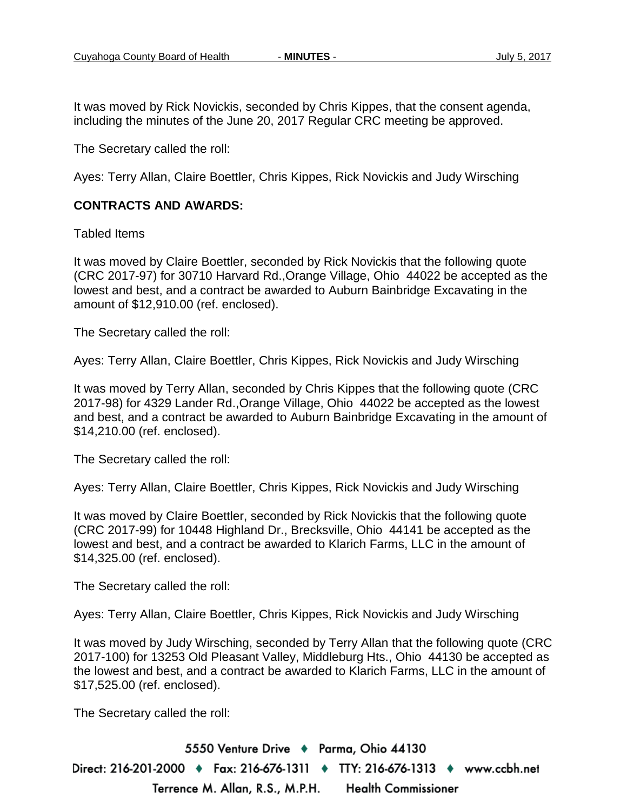It was moved by Rick Novickis, seconded by Chris Kippes, that the consent agenda, including the minutes of the June 20, 2017 Regular CRC meeting be approved.

The Secretary called the roll:

Ayes: Terry Allan, Claire Boettler, Chris Kippes, Rick Novickis and Judy Wirsching

#### **CONTRACTS AND AWARDS:**

Tabled Items

It was moved by Claire Boettler, seconded by Rick Novickis that the following quote (CRC 2017-97) for 30710 Harvard Rd.,Orange Village, Ohio 44022 be accepted as the lowest and best, and a contract be awarded to Auburn Bainbridge Excavating in the amount of \$12,910.00 (ref. enclosed).

The Secretary called the roll:

Ayes: Terry Allan, Claire Boettler, Chris Kippes, Rick Novickis and Judy Wirsching

It was moved by Terry Allan, seconded by Chris Kippes that the following quote (CRC 2017-98) for 4329 Lander Rd.,Orange Village, Ohio 44022 be accepted as the lowest and best, and a contract be awarded to Auburn Bainbridge Excavating in the amount of \$14,210.00 (ref. enclosed).

The Secretary called the roll:

Ayes: Terry Allan, Claire Boettler, Chris Kippes, Rick Novickis and Judy Wirsching

It was moved by Claire Boettler, seconded by Rick Novickis that the following quote (CRC 2017-99) for 10448 Highland Dr., Brecksville, Ohio 44141 be accepted as the lowest and best, and a contract be awarded to Klarich Farms, LLC in the amount of \$14,325.00 (ref. enclosed).

The Secretary called the roll:

Ayes: Terry Allan, Claire Boettler, Chris Kippes, Rick Novickis and Judy Wirsching

It was moved by Judy Wirsching, seconded by Terry Allan that the following quote (CRC 2017-100) for 13253 Old Pleasant Valley, Middleburg Hts., Ohio 44130 be accepted as the lowest and best, and a contract be awarded to Klarich Farms, LLC in the amount of \$17,525.00 (ref. enclosed).

The Secretary called the roll: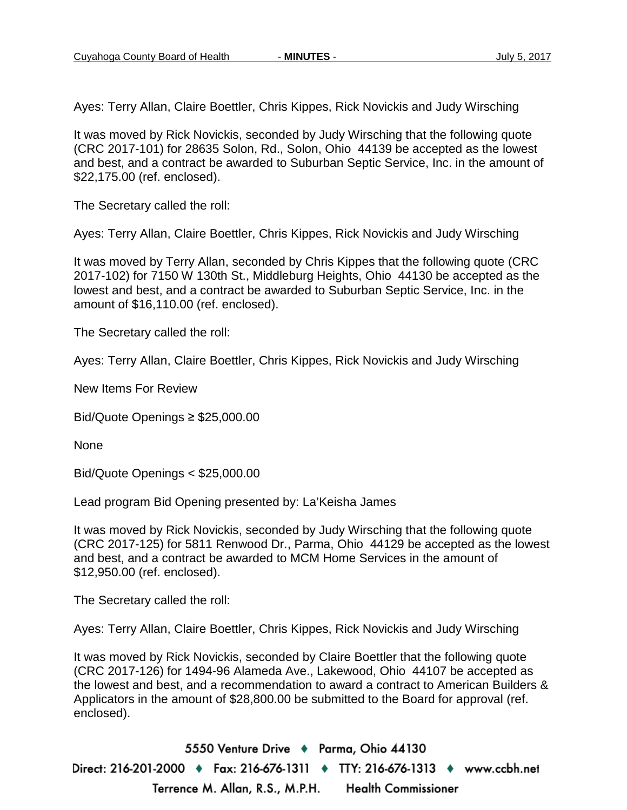Ayes: Terry Allan, Claire Boettler, Chris Kippes, Rick Novickis and Judy Wirsching

It was moved by Rick Novickis, seconded by Judy Wirsching that the following quote (CRC 2017-101) for 28635 Solon, Rd., Solon, Ohio 44139 be accepted as the lowest and best, and a contract be awarded to Suburban Septic Service, Inc. in the amount of \$22,175.00 (ref. enclosed).

The Secretary called the roll:

Ayes: Terry Allan, Claire Boettler, Chris Kippes, Rick Novickis and Judy Wirsching

It was moved by Terry Allan, seconded by Chris Kippes that the following quote (CRC 2017-102) for 7150 W 130th St., Middleburg Heights, Ohio 44130 be accepted as the lowest and best, and a contract be awarded to Suburban Septic Service, Inc. in the amount of \$16,110.00 (ref. enclosed).

The Secretary called the roll:

Ayes: Terry Allan, Claire Boettler, Chris Kippes, Rick Novickis and Judy Wirsching

New Items For Review

Bid/Quote Openings ≥ \$25,000.00

None

Bid/Quote Openings < \$25,000.00

Lead program Bid Opening presented by: La'Keisha James

It was moved by Rick Novickis, seconded by Judy Wirsching that the following quote (CRC 2017-125) for 5811 Renwood Dr., Parma, Ohio 44129 be accepted as the lowest and best, and a contract be awarded to MCM Home Services in the amount of \$12,950.00 (ref. enclosed).

The Secretary called the roll:

Ayes: Terry Allan, Claire Boettler, Chris Kippes, Rick Novickis and Judy Wirsching

It was moved by Rick Novickis, seconded by Claire Boettler that the following quote (CRC 2017-126) for 1494-96 Alameda Ave., Lakewood, Ohio 44107 be accepted as the lowest and best, and a recommendation to award a contract to American Builders & Applicators in the amount of \$28,800.00 be submitted to the Board for approval (ref. enclosed).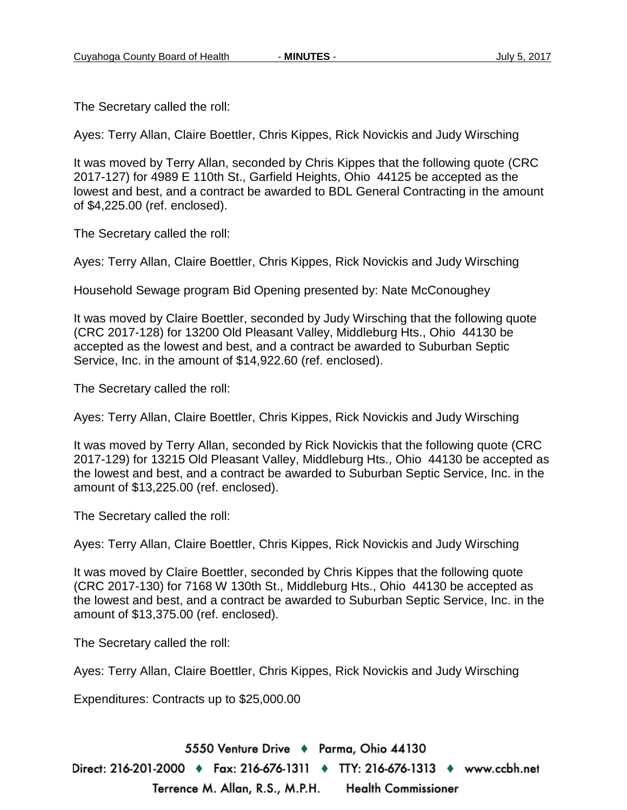The Secretary called the roll:

Ayes: Terry Allan, Claire Boettler, Chris Kippes, Rick Novickis and Judy Wirsching

It was moved by Terry Allan, seconded by Chris Kippes that the following quote (CRC 2017-127) for 4989 E 110th St., Garfield Heights, Ohio 44125 be accepted as the lowest and best, and a contract be awarded to BDL General Contracting in the amount of \$4,225.00 (ref. enclosed).

The Secretary called the roll:

Ayes: Terry Allan, Claire Boettler, Chris Kippes, Rick Novickis and Judy Wirsching

Household Sewage program Bid Opening presented by: Nate McConoughey

It was moved by Claire Boettler, seconded by Judy Wirsching that the following quote (CRC 2017-128) for 13200 Old Pleasant Valley, Middleburg Hts., Ohio 44130 be accepted as the lowest and best, and a contract be awarded to Suburban Septic Service, Inc. in the amount of \$14,922.60 (ref. enclosed).

The Secretary called the roll:

Ayes: Terry Allan, Claire Boettler, Chris Kippes, Rick Novickis and Judy Wirsching

It was moved by Terry Allan, seconded by Rick Novickis that the following quote (CRC 2017-129) for 13215 Old Pleasant Valley, Middleburg Hts., Ohio 44130 be accepted as the lowest and best, and a contract be awarded to Suburban Septic Service, Inc. in the amount of \$13,225.00 (ref. enclosed).

The Secretary called the roll:

Ayes: Terry Allan, Claire Boettler, Chris Kippes, Rick Novickis and Judy Wirsching

It was moved by Claire Boettler, seconded by Chris Kippes that the following quote (CRC 2017-130) for 7168 W 130th St., Middleburg Hts., Ohio 44130 be accepted as the lowest and best, and a contract be awarded to Suburban Septic Service, Inc. in the amount of \$13,375.00 (ref. enclosed).

The Secretary called the roll:

Ayes: Terry Allan, Claire Boettler, Chris Kippes, Rick Novickis and Judy Wirsching

Expenditures: Contracts up to \$25,000.00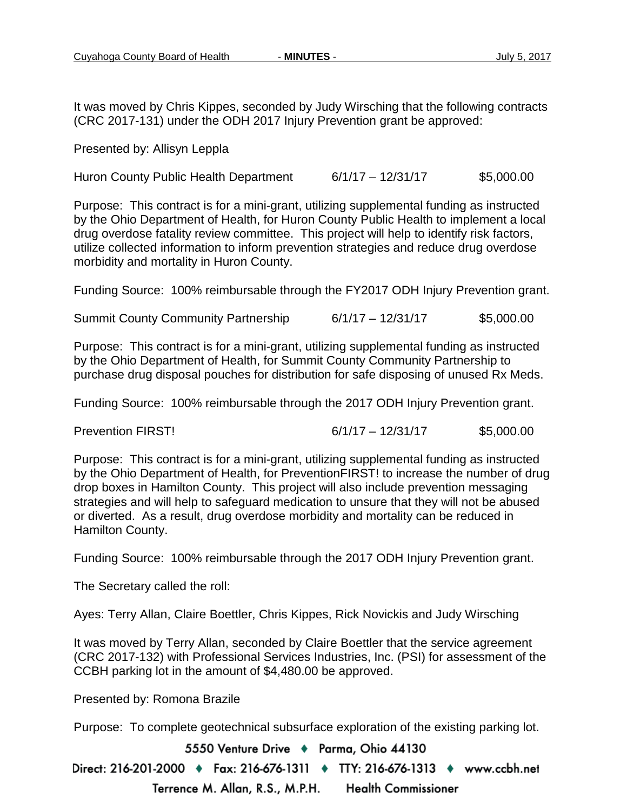It was moved by Chris Kippes, seconded by Judy Wirsching that the following contracts (CRC 2017-131) under the ODH 2017 Injury Prevention grant be approved:

Presented by: Allisyn Leppla

Huron County Public Health Department 6/1/17 – 12/31/17 \$5,000.00

Purpose: This contract is for a mini-grant, utilizing supplemental funding as instructed by the Ohio Department of Health, for Huron County Public Health to implement a local drug overdose fatality review committee. This project will help to identify risk factors, utilize collected information to inform prevention strategies and reduce drug overdose morbidity and mortality in Huron County.

Funding Source: 100% reimbursable through the FY2017 ODH Injury Prevention grant.

Summit County Community Partnership 6/1/17 – 12/31/17 \$5,000.00

Purpose: This contract is for a mini-grant, utilizing supplemental funding as instructed by the Ohio Department of Health, for Summit County Community Partnership to purchase drug disposal pouches for distribution for safe disposing of unused Rx Meds.

Funding Source: 100% reimbursable through the 2017 ODH Injury Prevention grant.

Prevention FIRST! 6/1/17 – 12/31/17 \$5,000.00

Purpose: This contract is for a mini-grant, utilizing supplemental funding as instructed by the Ohio Department of Health, for PreventionFIRST! to increase the number of drug drop boxes in Hamilton County. This project will also include prevention messaging strategies and will help to safeguard medication to unsure that they will not be abused or diverted. As a result, drug overdose morbidity and mortality can be reduced in Hamilton County.

Funding Source: 100% reimbursable through the 2017 ODH Injury Prevention grant.

The Secretary called the roll:

Ayes: Terry Allan, Claire Boettler, Chris Kippes, Rick Novickis and Judy Wirsching

It was moved by Terry Allan, seconded by Claire Boettler that the service agreement (CRC 2017-132) with Professional Services Industries, Inc. (PSI) for assessment of the CCBH parking lot in the amount of \$4,480.00 be approved.

Presented by: Romona Brazile

Purpose: To complete geotechnical subsurface exploration of the existing parking lot.

5550 Venture Drive + Parma, Ohio 44130

Direct: 216-201-2000 ♦ Fax: 216-676-1311 ♦ TTY: 216-676-1313 ♦ www.ccbh.net Terrence M. Allan, R.S., M.P.H. **Health Commissioner**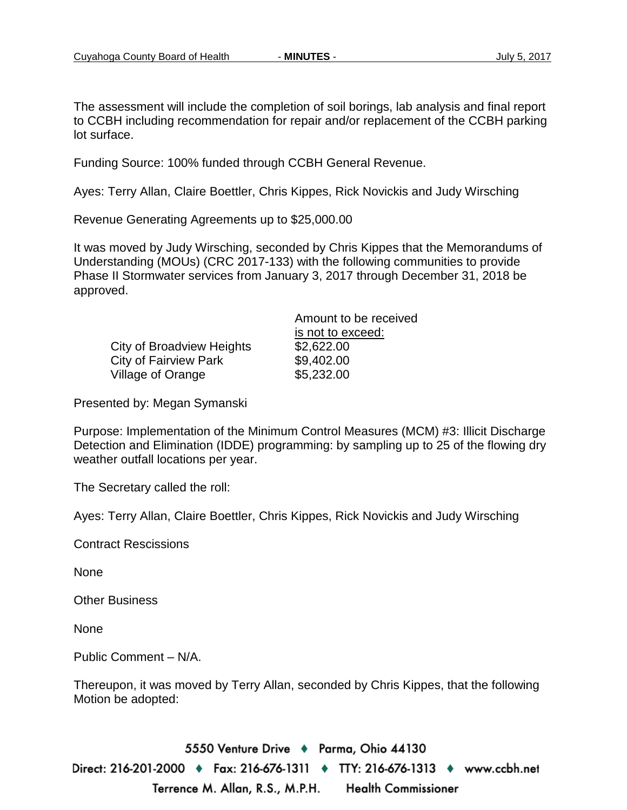The assessment will include the completion of soil borings, lab analysis and final report to CCBH including recommendation for repair and/or replacement of the CCBH parking lot surface.

Funding Source: 100% funded through CCBH General Revenue.

Ayes: Terry Allan, Claire Boettler, Chris Kippes, Rick Novickis and Judy Wirsching

Revenue Generating Agreements up to \$25,000.00

It was moved by Judy Wirsching, seconded by Chris Kippes that the Memorandums of Understanding (MOUs) (CRC 2017-133) with the following communities to provide Phase II Stormwater services from January 3, 2017 through December 31, 2018 be approved.

City of Broadview Heights \$2,622.00 City of Fairview Park \$9,402.00 Village of Orange  $$5,232.00$ 

Amount to be received is not to exceed:

Presented by: Megan Symanski

Purpose: Implementation of the Minimum Control Measures (MCM) #3: Illicit Discharge Detection and Elimination (IDDE) programming: by sampling up to 25 of the flowing dry weather outfall locations per year.

The Secretary called the roll:

Ayes: Terry Allan, Claire Boettler, Chris Kippes, Rick Novickis and Judy Wirsching

Contract Rescissions

None

Other Business

None

Public Comment – N/A.

Thereupon, it was moved by Terry Allan, seconded by Chris Kippes, that the following Motion be adopted: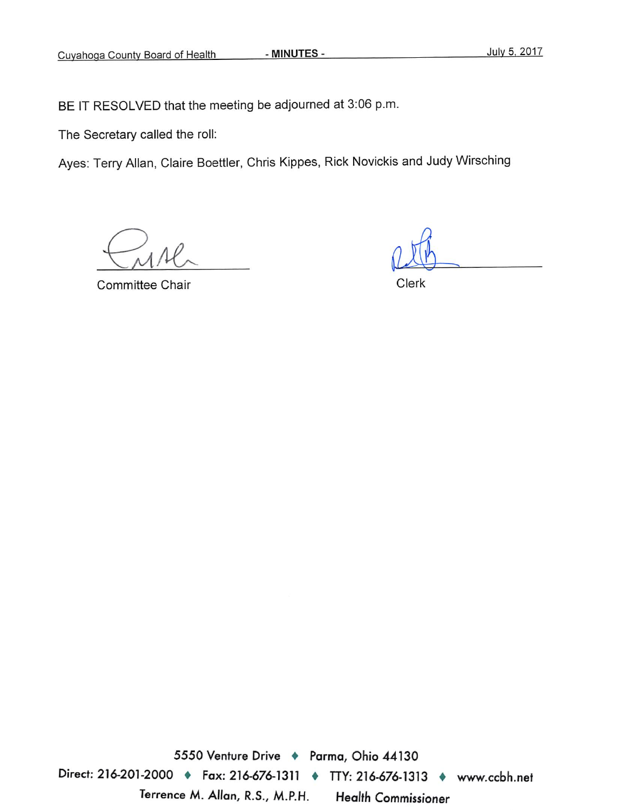BE IT RESOLVED that the meeting be adjourned at 3:06 p.m.

The Secretary called the roll:

Ayes: Terry Allan, Claire Boettler, Chris Kippes, Rick Novickis and Judy Wirsching

**Committee Chair** 

Clerk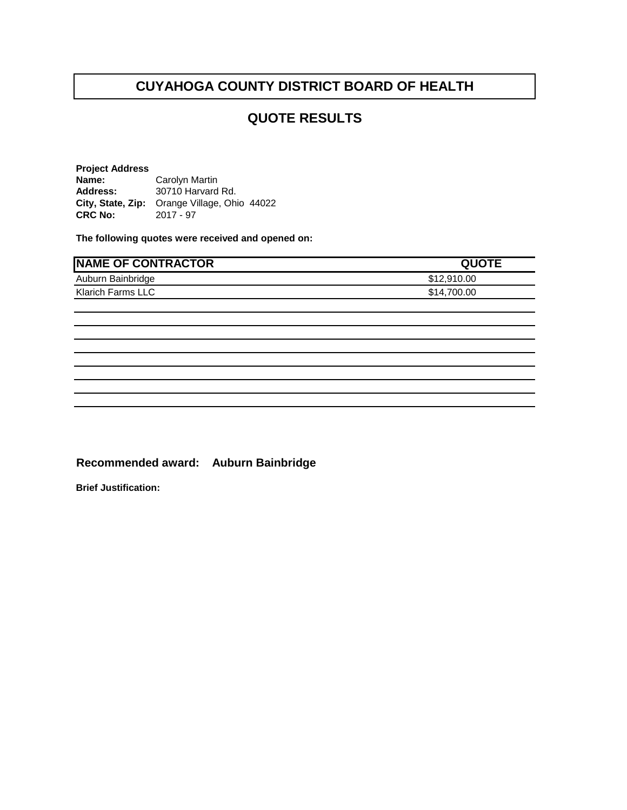#### **QUOTE RESULTS**

**Project Address Name:** Carolyn Martin<br> **Address:** 30710 Harvard **Address:** 30710 Harvard Rd. **City, State, Zip:** Orange Village, Ohio 44022 **CRC No:** 

**The following quotes were received and opened on:** 

| <b>NAME OF CONTRACTOR</b> | <b>QUOTE</b> |
|---------------------------|--------------|
| Auburn Bainbridge         | \$12,910.00  |
| Klarich Farms LLC         | \$14,700.00  |
|                           |              |
|                           |              |
|                           |              |
|                           |              |
|                           |              |
|                           |              |
|                           |              |
|                           |              |

**Recommended award: Auburn Bainbridge**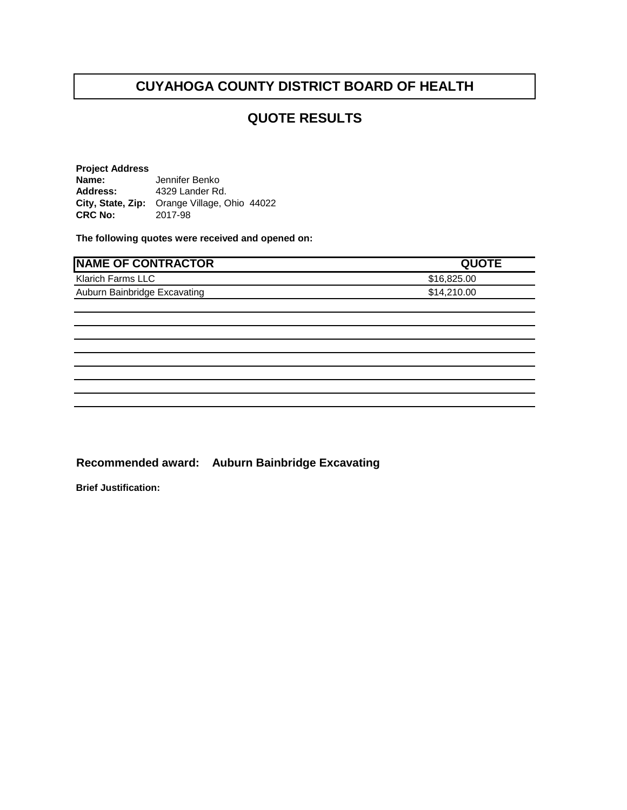#### **QUOTE RESULTS**

**Project Address Name:** Jennifer Benko<br>**Address:** 4329 Lander Ro **Address:** 4329 Lander Rd. **City, State, Zip:** Orange Village, Ohio 44022 **CRC No:** 

**The following quotes were received and opened on:** 

| <b>NAME OF CONTRACTOR</b>    | <b>QUOTE</b> |
|------------------------------|--------------|
| Klarich Farms LLC            | \$16,825.00  |
| Auburn Bainbridge Excavating | \$14,210.00  |
|                              |              |
|                              |              |
|                              |              |
|                              |              |
|                              |              |
|                              |              |
|                              |              |
|                              |              |

**Recommended award: Auburn Bainbridge Excavating**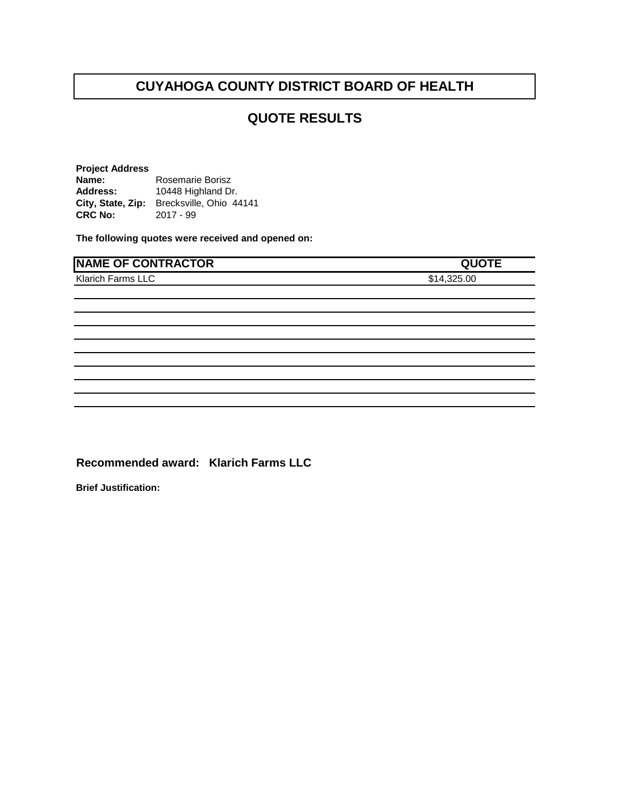## **QUOTE RESULTS**

**Project Address** Name: Rosemarie Borisz<br>Address: 10448 Highland Dr **Address:** 10448 Highland Dr. City, State, Zip: Brecksville, Ohio 44141<br>CRC No: 2017 - 99 **CRC No:** 

**The following quotes were received and opened on:** 

| <b>NAME OF CONTRACTOR</b> | <b>QUOTE</b> |
|---------------------------|--------------|
| Klarich Farms LLC         | \$14,325.00  |
|                           |              |
|                           |              |
|                           |              |
|                           |              |
|                           |              |
|                           |              |
|                           |              |
|                           |              |

**Recommended award: Klarich Farms LLC**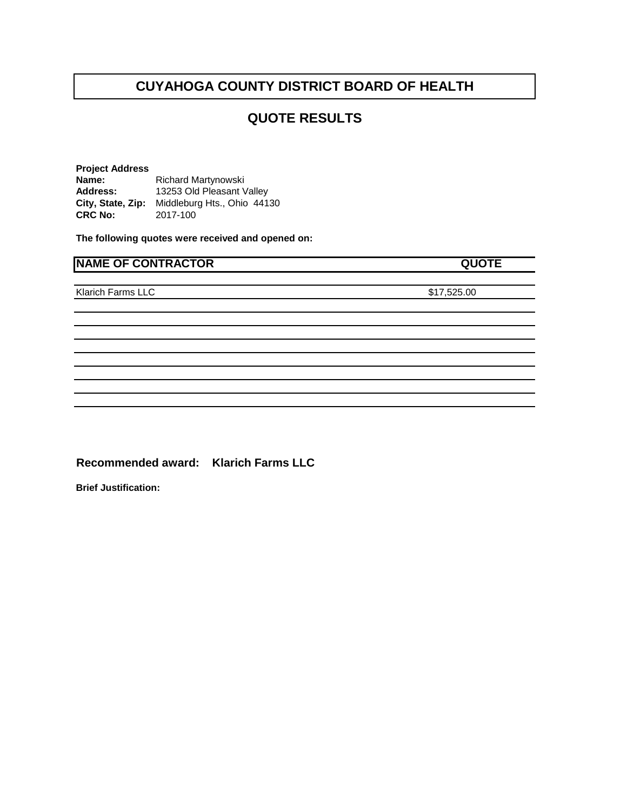#### **QUOTE RESULTS**

**Project Address Name:** Richard Martynowski **Address:** 13253 Old Pleasant Valley **City, State, Zip:** Middleburg Hts., Ohio 44130<br>**CRC No:** 2017-100 **CRC No:** 2017-100

**The following quotes were received and opened on:** 

| <b>NAME OF CONTRACTOR</b> | <b>QUOTE</b> |  |
|---------------------------|--------------|--|
| Klarich Farms LLC         | \$17,525.00  |  |
|                           |              |  |

**Recommended award: Klarich Farms LLC**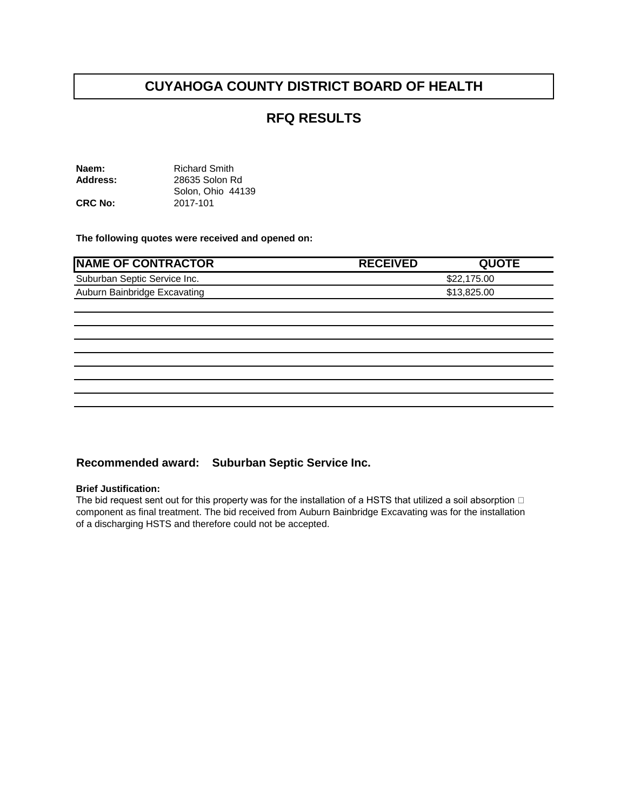#### **RFQ RESULTS**

| Naem:          | <b>Richard Smith</b> |
|----------------|----------------------|
| Address:       | 28635 Solon Rd       |
|                | Solon, Ohio 44139    |
| <b>CRC No:</b> | 2017-101             |

**The following quotes were received and opened on:** 

| <b>NAME OF CONTRACTOR</b>    | <b>RECEIVED</b> | <b>QUOTE</b> |
|------------------------------|-----------------|--------------|
| Suburban Septic Service Inc. |                 | \$22,175.00  |
| Auburn Bainbridge Excavating |                 | \$13,825.00  |
|                              |                 |              |
|                              |                 |              |
|                              |                 |              |
|                              |                 |              |
|                              |                 |              |
|                              |                 |              |
|                              |                 |              |
|                              |                 |              |

#### **Recommended award: Suburban Septic Service Inc.**

#### **Brief Justification:**

The bid request sent out for this property was for the installation of a HSTS that utilized a soil absorption  $\Box$ component as final treatment. The bid received from Auburn Bainbridge Excavating was for the installation of a discharging HSTS and therefore could not be accepted.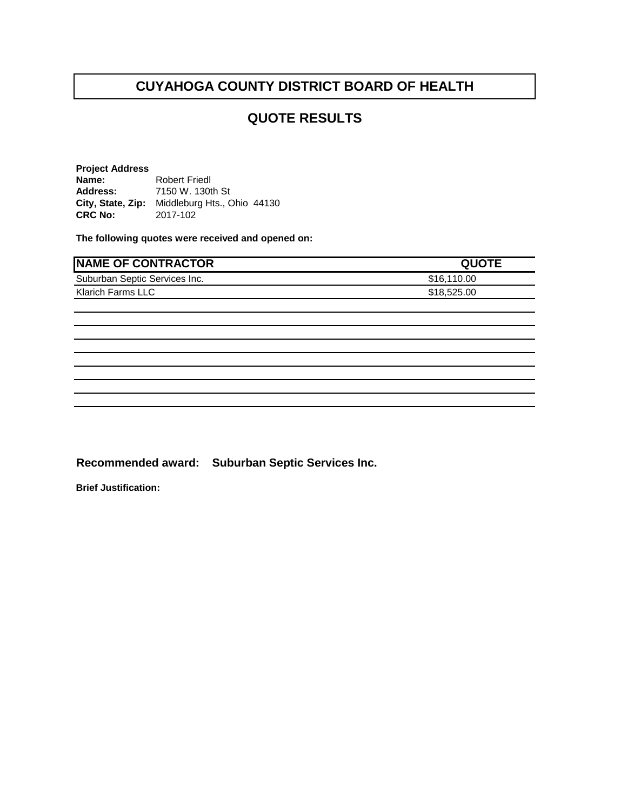#### **QUOTE RESULTS**

**Project Address Name:** Robert Friedl **Address:** 7150 W. 130th St City, State, Zip: Middleburg Hts., Ohio 44130<br>CRC No: 2017-102 **CRC No:** 2017-102

**The following quotes were received and opened on:** 

| <b>NAME OF CONTRACTOR</b>     | <b>QUOTE</b> |
|-------------------------------|--------------|
| Suburban Septic Services Inc. | \$16,110.00  |
| Klarich Farms LLC             | \$18,525.00  |
|                               |              |
|                               |              |
|                               |              |
|                               |              |
|                               |              |
|                               |              |
|                               |              |
|                               |              |

**Recommended award: Suburban Septic Services Inc.**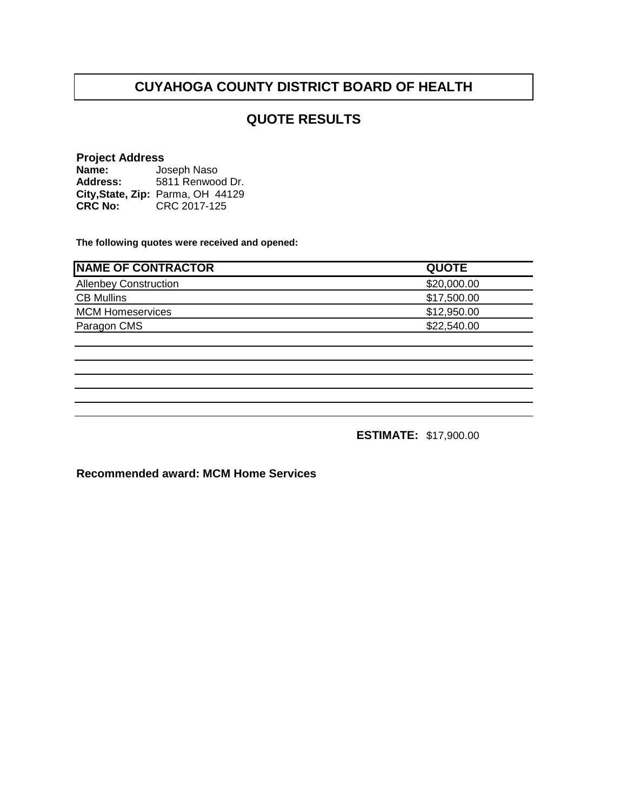## **QUOTE RESULTS**

#### **Project Address**

| Name:           | Joseph Naso                       |
|-----------------|-----------------------------------|
| <b>Address:</b> | 5811 Renwood Dr.                  |
|                 | City, State, Zip: Parma, OH 44129 |
| <b>CRC No:</b>  | CRC 2017-125                      |

**The following quotes were received and opened:**

| <b>INAME OF CONTRACTOR</b>   | <b>QUOTE</b> |
|------------------------------|--------------|
| <b>Allenbey Construction</b> | \$20,000.00  |
| <b>CB Mullins</b>            | \$17,500.00  |
| <b>MCM Homeservices</b>      | \$12,950.00  |
| Paragon CMS                  | \$22,540.00  |

**ESTIMATE:** \$17,900.00

**Recommended award: MCM Home Services**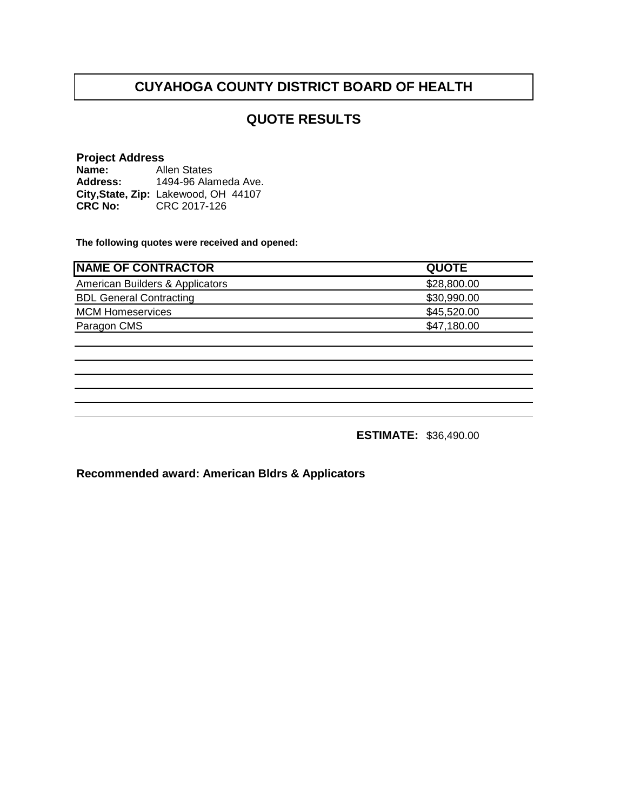## **QUOTE RESULTS**

#### **Project Address Name:** Allen States

**Address: City,State, Zip:** Lakewood, OH 44107**CRC No:** CRC 2017-126 1494-96 Alameda Ave.

**The following quotes were received and opened:**

| <b>NAME OF CONTRACTOR</b>       | <b>QUOTE</b> |
|---------------------------------|--------------|
| American Builders & Applicators | \$28,800.00  |
| <b>BDL General Contracting</b>  | \$30,990.00  |
| <b>MCM Homeservices</b>         | \$45,520.00  |
| Paragon CMS                     | \$47,180.00  |
|                                 |              |

**ESTIMATE:** \$36,490.00

**Recommended award: American Bldrs & Applicators**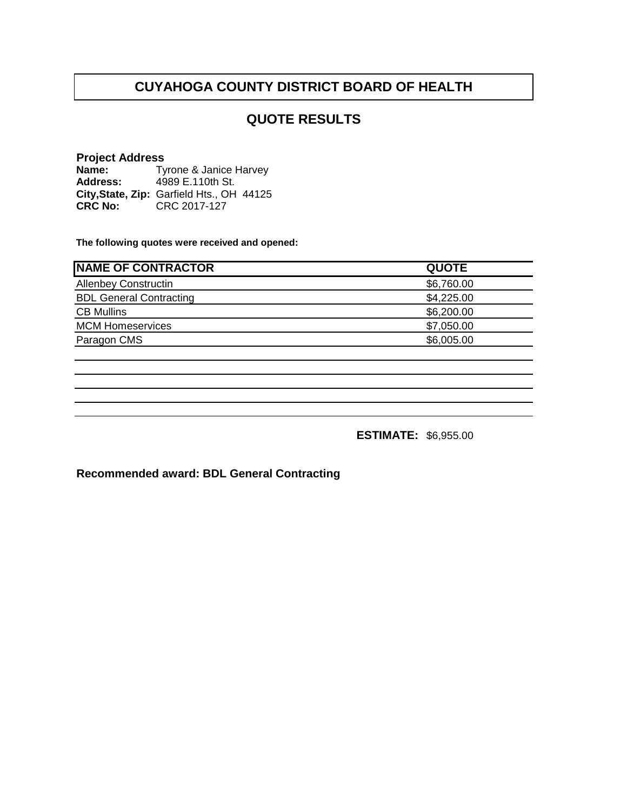## **QUOTE RESULTS**

#### **Project Address Name: Address: City,State, Zip:** Garfield Hts., OH 44125**CRC No:** CRC 2017-127 Tyrone & Janice Harvey 4989 E.110th St.

**The following quotes were received and opened:**

| <b>NAME OF CONTRACTOR</b>      | <b>QUOTE</b> |
|--------------------------------|--------------|
| <b>Allenbey Constructin</b>    | \$6,760.00   |
| <b>BDL General Contracting</b> | \$4,225.00   |
| <b>CB Mullins</b>              | \$6,200.00   |
| <b>MCM Homeservices</b>        | \$7,050.00   |
| Paragon CMS                    | \$6,005.00   |

**ESTIMATE:** \$6,955.00

**Recommended award: BDL General Contracting**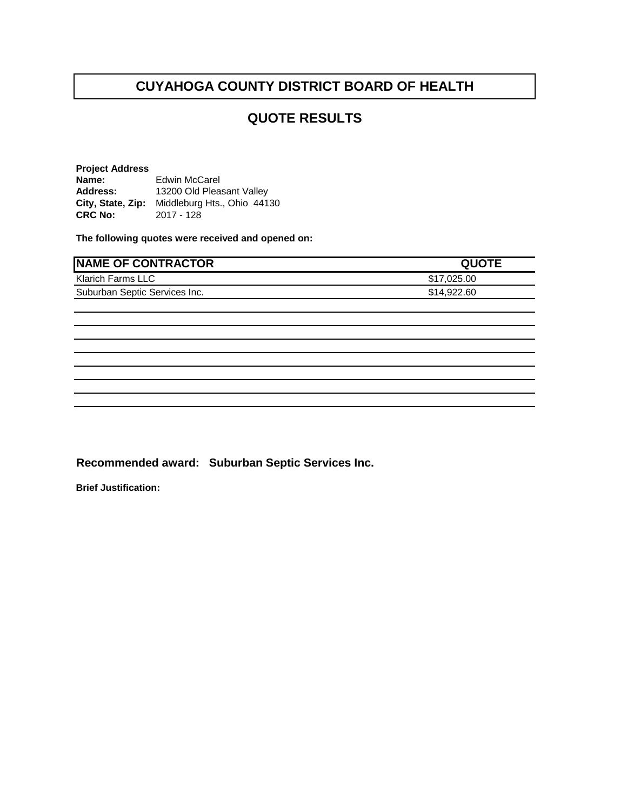#### **QUOTE RESULTS**

**Project Address Name:** Edwin McCarel **Address:** 13200 Old Pleasant Valley **City, State, Zip:** Middleburg Hts., Ohio 44130<br>**CRC No:** 2017 - 128 **CRC No:** 2017 - 128

**The following quotes were received and opened on:** 

| <b>NAME OF CONTRACTOR</b>     | <b>QUOTE</b> |
|-------------------------------|--------------|
| Klarich Farms LLC             | \$17,025.00  |
| Suburban Septic Services Inc. | \$14,922.60  |
|                               |              |
|                               |              |
|                               |              |
|                               |              |
|                               |              |
|                               |              |
|                               |              |
|                               |              |

**Recommended award: Suburban Septic Services Inc.**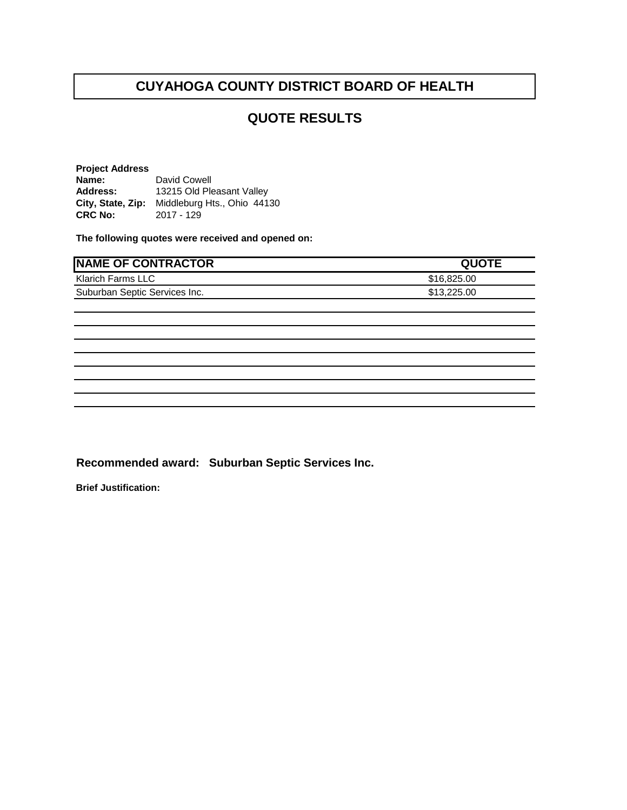#### **QUOTE RESULTS**

**Project Address Name:** David Cowell **Address:** 13215 Old Pleasant Valley **City, State, Zip:** Middleburg Hts., Ohio 44130<br>**CRC No:** 2017 - 129 **CRC No:** 2017 - 129

**The following quotes were received and opened on:** 

| <b>NAME OF CONTRACTOR</b>     | <b>QUOTE</b> |
|-------------------------------|--------------|
| Klarich Farms LLC             | \$16,825.00  |
| Suburban Septic Services Inc. | \$13,225.00  |
|                               |              |
|                               |              |
|                               |              |
|                               |              |
|                               |              |
|                               |              |
|                               |              |
|                               |              |

**Recommended award: Suburban Septic Services Inc.**